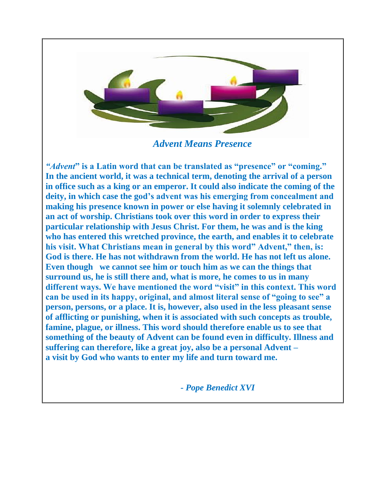

 *Advent Means Presence*

*"Advent***" is a Latin word that can be translated as "presence" or "coming." In the ancient world, it was a technical term, denoting the arrival of a person in office such as a king or an emperor. It could also indicate the coming of the deity, in which case the god's advent was his emerging from concealment and making his presence known in power or else having it solemnly celebrated in an act of worship. Christians took over this word in order to express their particular relationship with Jesus Christ. For them, he was and is the king who has entered this wretched province, the earth, and enables it to celebrate his visit. What Christians mean in general by this word" Advent," then, is: God is there. He has not withdrawn from the world. He has not left us alone. Even though we cannot see him or touch him as we can the things that surround us, he is still there and, what is more, he comes to us in many different ways. We have mentioned the word "visit" in this context. This word can be used in its happy, original, and almost literal sense of "going to see" a person, persons, or a place. It is, however, also used in the less pleasant sense of afflicting or punishing, when it is associated with such concepts as trouble, famine, plague, or illness. This word should therefore enable us to see that something of the beauty of Advent can be found even in difficulty. Illness and suffering can therefore, like a great joy, also be a personal Advent – a visit by God who wants to enter my life and turn toward me.**

*- Pope Benedict XVI*